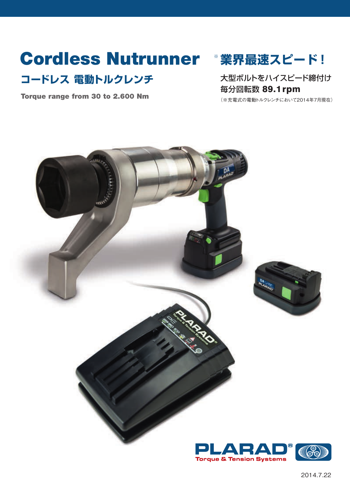# Cordless Nutrunner **業界最速スピード !** ※

# コードレス 電動トルクレンチ オンスタンス スタボルトをハイスピード締付け

Torque range from 30 to 2.600 Nm

毎分回転数 89.1rpm

(※充電式の電動トルクレンチにおいて2014年7月現在)

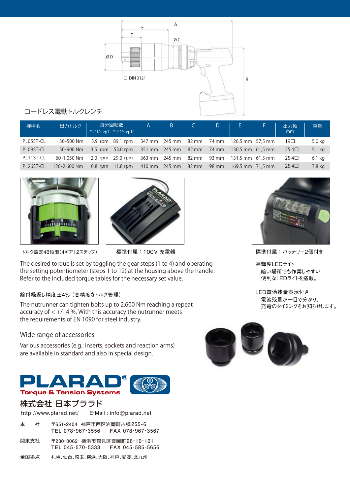

#### コードレス電動トルクレンチ

| 機種名       | 出力トルク        |           | 毎分回転数<br>ギア1/step1 ギア4/step12                               | $\mathsf{A}$ | $\beta$             | $\mathsf{D}$ $\Box$ | E in                                       | 出力軸<br>mm     | 重量     |
|-----------|--------------|-----------|-------------------------------------------------------------|--------------|---------------------|---------------------|--------------------------------------------|---------------|--------|
| PL05ST-CL | 30-500 Nm    |           | 5.9 rpm 89.1 rpm 347 mm 245 mm 82 mm 74 mm 126,5 mm 57,5 mm |              |                     |                     |                                            | $19\square$   | 5,0 kg |
| PL09ST-CL | 50-900 Nm    | $3.5$ rpm | 53.0 rpm                                                    |              |                     |                     | 351 mm 245 mm 82 mm 74 mm 130,5 mm 61,5 mm | $25.4\square$ | 5,1 kg |
| PL11ST-CL | 60-1.050 Nm  |           | 2.0 rpm 29.0 rpm                                            |              |                     |                     | 363 mm 245 mm 82 mm 93 mm 131,5 mm 61,5 mm | $25.4\square$ | 6,1 kg |
| PL26ST-CL | 120-2.600 Nm | $0.8$ rpm | $11.8$ rpm                                                  |              | 410 mm 245 mm 82 mm | 98 mm               | $169.5$ mm $71.5$ mm                       | $25.4\square$ | 7,8 kg |





トルク設定48段階(4ギア12ステップ)

The desired torque is set by toggling the gear steps (1 to 4) and operating the setting potentiometer (steps 1 to 12) at the housing above the handle. Refer to the included torque tables for the necessary set value.

#### 締付繰返し精度±4% (高精度なトルク管理)

The nutrunner can tighten bolts up to 2.600 Nm reaching a repeat accuracy of  $< +/- 4$ %. With this accuracy the nutrunner meets the requirements of EN 1090 for steel industry.

#### **Wide range of accessories**

Various accessories (e.g.: inserts, sockets and reaction arms) are available in standard and also in special design.



### 株式会社 日本プララド

E-Mail : info@plarad.net http://www.plarad.net/

- **〒651-2404** 神戸市西区岩岡町古郷**255-6 TEL 078-967-3556 FAX 078-967-3567** 本 社
- **〒230-0062** 横浜市鶴見区豊岡町**26-10-101 TEL 045-570-5333 FAX 045-585-5656** 関東支社
- 全国拠点 札幌、仙台、埼玉、横浜、大阪、神戸、愛媛、北九州



標準付属:100V 充電器 インスコンスコンスコントリーン 標準付属:バッテリー2個付き

高輝度LEDライト 暗い場所でも作業しやすい 便利なLEDライトを搭載。

LED電池残量表示付き 電池残量が一目で分かり、 ーール、エー<br>充電のタイミングをお知らせします。